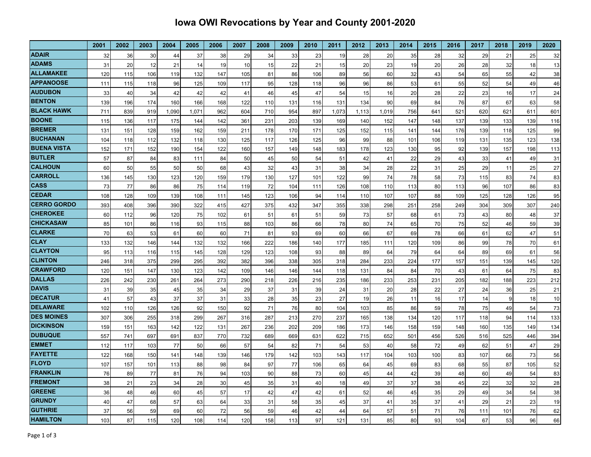## **Iowa OWI Revocations by Year and County 2001-2020**

|                                | 2001       | 2002       | 2003       | 2004       | 2005       | 2006       | 2007       | 2008       | 2009       | 2010       | 2011       | 2012       | 2013       | 2014       | 2015       | 2016       | 2017       | 2018       | 2019       | 2020       |
|--------------------------------|------------|------------|------------|------------|------------|------------|------------|------------|------------|------------|------------|------------|------------|------------|------------|------------|------------|------------|------------|------------|
| <b>ADAIR</b>                   | 32         | 36         | 30         | 44         | 37         | 38         | 29         | 34         | 33         | 23         | 19         | 28         | 20         | 35         | 28         | 32         | 29         | 21         | 25         | 32         |
| <b>ADAMS</b>                   | 31         | 20         | 12         | 21         | 14         | 19         | 10         | 15         | 22         | 21         | 15         | 20         | 23         | 19         | 20         | 26         | 28         | 32         | 18         | 13         |
| <b>ALLAMAKEE</b>               | 120        | 115        | 106        | 119        | 132        | 147        | 105        | 81         | 86         | 106        | 89         | 56         | 60         | 32         | 43         | 54         | 65         | 55         | 42         | 38         |
| <b>APPANOOSE</b>               | 111        | 115        | 118        | 96         | 125        | 109        | 117        | 95         | 128        | 118        | 96         | 96         | 86         | 53         | 61         | 55         | 52         | 54         | 49         | 46         |
| <b>AUDUBON</b>                 | 33         | 40         | 34         | 42         | 42         | 42         | 41         | 46         | 45         | 47         | 54         | 15         | 16         | 20         | 28         | 22         | 23         | 16         | 17         | 24         |
| <b>BENTON</b>                  | 139        | 196        | 174        | 160        | 166        | 168        | 122        | 110        | 131        | 116        | 131        | 134        | 90         | 69         | 84         | 76         | 87         | 67         | 63         | 58         |
| <b>BLACK HAWK</b>              | 711        | 839        | 919        | 1,090      | 1,071      | 962        | 604        | 710        | 954        | 897        | 1,073      | 1,113      | 1,019      | 756        | 641        | 521        | 620        | 621        | 611        | 601        |
| <b>BOONE</b>                   | 115        | 136        | 117        | 175        | 144        | 142        | 361        | 231        | 203        | 139        | 169        | 140        | 152        | 147        | 148        | 137        | 139        | 133        | 139        | 116        |
| <b>BREMER</b>                  | 131        | 151        | 128        | 159        | 162        | 159        | 211        | 178        | 170        | 171        | 125        | 152        | 115        | 141        | 144        | 176        | 139        | 118        | 125        | 99         |
| <b>BUCHANAN</b>                | 104        | 118        | 112        | 132        | 118        | 130        | 125        | 117        | 126        | 125        | 96         | 99         | 88         | 101        | 106        | 119        | 131        | 135        | 123        | 138        |
| <b>BUENA VISTA</b>             | 152        | 171        | 152        | 190        | 154        | 122        | 160        | 157        | 149        | 148        | 183        | 178        | 123        | 130        | 95         | 92         | 139        | 157        | 198        | 113        |
| <b>BUTLER</b>                  | 57         | 87         | 84         | 83         | 111        | 84         | 50         | 45         | 50         | 54         | 51         | 42         | 41         | 22         | 29         | 43         | 33         | 41         | 49         | 31         |
| <b>CALHOUN</b>                 | 60         | 50         | 55         | 50         | 50         | 68         | 43         | 32         | 43         | 31         | 38         | 34         | 28         | 22         | 31         | 25         | 29         | 11         | 25         | 27         |
| <b>CARROLL</b>                 | 136        | 145        | 130        | 123        | 120        | 159        | 179        | 130        | 127        | 101        | 122        | 99         | 74         | 78         | 58         | 73         | 115        | 83         | 74         | 83         |
| <b>CASS</b>                    | 73         | 77         | 86         | 86         | 75         | 114        | 119        | 72         | 104        | 111        | 126        | 108        | 110        | 113        | 80         | 113        | 96         | 107        | 86         | 83         |
| <b>ICEDAR</b>                  | 108        | 128        | 109        | 139        | 108        | 111        | 145        | 123        | 106        | 94         | 114        | 110        | 107        | 107        | 88         | 109        | 125        | 128        | 126        | 95         |
| <b>CERRO GORDO</b>             | 393        | 408        | 396        | 390        | 322        | 415        | 427        | 375        | 432        | 347        | 355        | 338        | 298        | 251        | 258        | 249        | 304        | 309        | 307        | 240        |
| <b>CHEROKEE</b>                | 60         | 112        | 96         | 120        | 75         | 102        | 61         | 51         | 61         | 51         | 59         | 73         | 57         | 68         | 61         | 73         | 43         | 80         | 48         | 37         |
| <b>CHICKASAW</b>               | 85         | 101        | 86         | 116        | 93         | 115        | 88         | 103        | 86         | 66         | 78         | 80         | 74         | 65         | 70         | 75         | 52         | 46         | 59         | 39         |
| <b>CLARKE</b>                  | 70         | 63         | 53         | 61         | 60         | 60         | 71         | 81         | 93         | 69         | 60         | 66         | 67         | 69         | 78         | 66         | 61         | 62         | 47         | 51         |
| <b>CLAY</b>                    | 133        | 132        | 146        | 144        | 132        | 132        | 166        | 222        | 186        | 140        | 177        | 185        | 111        | 120        | 109        | 86         | 99         | 78         | 70         | 61         |
| <b>CLAYTON</b>                 | 95         | 113        | 116        | 115        | 145        | 128        | 129        | 123        | 108        | 93         | 88         | 89         | 64         | 79         | 64         | 64         | 89         | 69         | 61         | 56         |
| <b>CLINTON</b>                 | 246        | 318        | 375        | 299        | 295        | 392        | 382        | 396        | 338        | 305        | 318        | 284        | 233        | 224        | 177        | 157        | 151        | 139        | 145        | 120        |
| <b>CRAWFORD</b>                | 120        | 151        | 147        | 130        | 123        | 142        | 109        | 146        | 146        | 144        | 118        | 131        | 84         | 84         | 70         | 43         | 61         | 64         | 75         | 83         |
| <b>DALLAS</b>                  | 226        | 242        | 230        | 261        | 264        | 273        | 290        | 218        | 226        | 216        | 235        | 186        | 233        | 253        | 231        | 205        | 182        | 188        | 223        | 212        |
| <b>DAVIS</b><br><b>DECATUR</b> | 31         | 39         | 35         | 45         | 35         | 34         | 29         | 37         | 31         | 39         | 24         | 31         | 20         | 28         | 22         | 27         | 24         | 36         | 25         | 21         |
| <b>DELAWARE</b>                | 41         | 57         | 43         | 37         | 37         | 31         | 33         | 28         | 35         | 23         | 27         | 19         | 26         | 11         | 16         | 17         | 14         | 9          | 18         | 10         |
| <b>DES MOINES</b>              | 102        | 110        | 126        | 126        | 92         | 150        | 92         | 71         | 76         | 80         | 104        | 103        | 85         | 86         | 59         | 78         | 75         | 49         | 54         | 73         |
| <b>DICKINSON</b>               | 307        | 306        | 255        | 318        | 299        | 267        | 316        | 287<br>236 | 213<br>202 | 270<br>209 | 237        | 165        | 138        | 134        | 120        | 117        | 118        | 94         | 114        | 133        |
| <b>IDUBUQUE</b>                | 159<br>557 | 151<br>741 | 163<br>697 | 142<br>691 | 122<br>837 | 131<br>770 | 267<br>732 | 689        | 669        | 631        | 186<br>622 | 173<br>715 | 146<br>652 | 158<br>501 | 159<br>456 | 148<br>526 | 160<br>516 | 135<br>525 | 149<br>446 | 134<br>394 |
| <b>EMMET</b>                   | 112        | 117        | 103        | 77         | 50         | 66         | 57         | 54         | 82         | 71         | 54         | 53         | 40         | 58         | 72         | 49         | 62         | 51         | 47         | 29         |
| <b>FAYETTE</b>                 | 122        | 168        | 150        | 141        | 148        | 139        | 146        | 179        | 142        | 103        | 143        | 117        | 104        | 103        | 100        | 83         | 107        | 66         | 73         | 56         |
| <b>FLOYD</b>                   | 107        | 157        | 101        | 113        | 88         | 98         | 84         | 97         | 77         | 106        | 65         | 64         | 45         | 69         | 83         | 68         | 55         | 87         | 105        | 52         |
| <b>FRANKLIN</b>                | 76         | 89         | 77         | 81         | 76         | 94         | 103        | 90         | 88         | 73         | 60         | 45         | 44         | 42         | 39         | 48         | 60         | 49         | 54         | 83         |
| <b>FREMONT</b>                 | 38         | 21         | 23         | 34         | 28         | 30         | 45         | 35         | 31         | 40         | 18         | 49         | 37         | 37         | 38         | 45         | 22         | 32         | 32         | 28         |
| <b>GREENE</b>                  | 36         | 48         | 46         | 60         | 45         | 57         | 17         | 42         | 47         | 42         | 61         | 52         | 46         | 45         | 35         | 29         | 49         | 34         | 54         | 38         |
| <b>GRUNDY</b>                  | 40         | 47         | 68         | 57         | 63         | 64         | 33         | 31         | 58         | 35         | 45         | 37         | 41         | 35         | 37         | 41         | 29         | 21         | 23         | 19         |
| <b>GUTHRIE</b>                 | 37         | 56         | 59         | 69         | 60         | 72         | 56         | 59         | 46         | 42         | 44         | 64         | 57         | 51         | 71         | 76         | 111        | 101        | 76         | 62         |
| <b>HAMILTON</b>                | 103        | 87         | 115        | 120        | 108        | 114        | 120        | 158        | 113        | 97         | 121        | 131        | 85         | 80         | 93         | 104        | 67         | 53         | 96         | 66         |
|                                |            |            |            |            |            |            |            |            |            |            |            |            |            |            |            |            |            |            |            |            |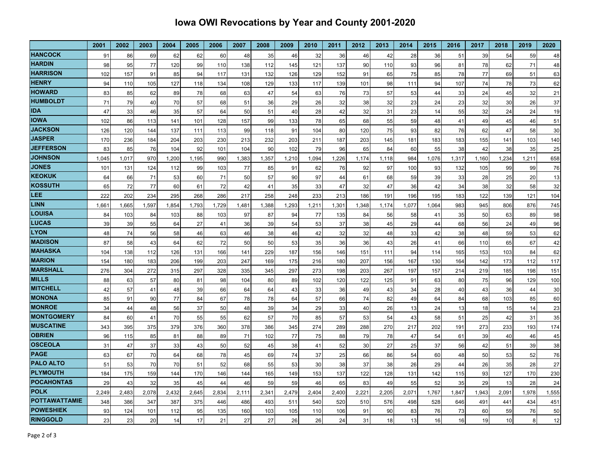## **Iowa OWI Revocations by Year and County 2001-2020**

|                                          | 2001  | 2002  | 2003  | 2004  | 2005  | 2006  | 2007  | 2008  | 2009  | 2010  | 2011  | 2012  | 2013  | 2014  | 2015  | 2016  | 2017  | 2018  | 2019  | 2020  |
|------------------------------------------|-------|-------|-------|-------|-------|-------|-------|-------|-------|-------|-------|-------|-------|-------|-------|-------|-------|-------|-------|-------|
| <b>HANCOCK</b>                           | 91    | 86    | 69    | 62    | 62    | 60    | 48    | 35    | 46    | 32    | 36    | 46    | 42    | 28    | 36    | 51    | 39    | 54    | 59    | 48    |
| <b>HARDIN</b>                            | 98    | 95    | 77    | 120   | 99    | 110   | 138   | 112   | 145   | 121   | 137   | 90    | 110   | 93    | 96    | 81    | 78    | 62    | 71    | 48    |
| <b>HARRISON</b>                          | 102   | 157   | 91    | 85    | 94    | 117   | 131   | 132   | 126   | 129   | 152   | 91    | 65    | 75    | 85    | 78    | 77    | 69    | 51    | 63    |
| <b>HENRY</b>                             | 94    | 110   | 105   | 127   | 118   | 134   | 108   | 129   | 133   | 117   | 139   | 101   | 98    | 111   | 94    | 107   | 74    | 78    | 73    | 62    |
| <b>HOWARD</b>                            | 83    | 85    | 62    | 89    | 78    | 68    | 63    | 47    | 54    | 63    | 76    | 73    | 57    | 53    | 44    | 33    | 24    | 45    | 32    | 21    |
| <b>HUMBOLDT</b>                          | 71    | 79    | 40    | 70    | 57    | 68    | 51    | 36    | 29    | 26    | 32    | 38    | 32    | 23    | 24    | 23    | 32    | 30    | 26    | 37    |
| <b>IDA</b>                               | 47    | 33    | 46    | 35    | 57    | 64    | 50    | 51    | 40    | 28    | 42    | 32    | 31    | 23    | 14    | 55    | 32    | 24    | 24    | 19    |
| <b>IOWA</b>                              | 102   | 86    | 113   | 141   | 101   | 128   | 157   | 99    | 133   | 78    | 65    | 68    | 55    | 59    | 48    | 41    | 49    | 45    | 46    | 51    |
| <b>JACKSON</b>                           | 126   | 120   | 144   | 137   | 111   | 113   | 99    | 118   | 91    | 104   | 80    | 120   | 75    | 93    | 82    | 76    | 62    | 47    | 58    | 30    |
| <b>JASPER</b>                            | 170   | 236   | 184   | 204   | 203   | 230   | 213   | 232   | 203   | 211   | 187   | 203   | 145   | 181   | 183   | 183   | 155   | 141   | 103   | 140   |
| <b>JEFFERSON</b>                         | 83    | 85    | 76    | 104   | 92    | 101   | 104   | 90    | 102   | 79    | 96    | 65    | 84    | 60    | 55    | 38    | 42    | 38    | 35    | 25    |
| <b>JOHNSON</b>                           | 1,045 | 1.017 | 970   | 1,200 | 1,195 | 990   | 1,383 | 1,357 | 1,210 | 1,094 | 1,226 | 1.174 | 1,118 | 984   | 1,076 | 1,317 | 1,160 | 1,234 | 1,211 | 658   |
| <b>JONES</b>                             | 101   | 131   | 124   | 112   | 99    | 103   | 77    | 85    | 91    | 62    | 76    | 92    | 97    | 100   | 93    | 132   | 105   | 99    | 99    | 76    |
| <b>KEOKUK</b>                            | 64    | 66    | 71    | 53    | 60    | 71    | 50    | 57    | 90    | 97    | 44    | 61    | 68    | 59    | 39    | 33    | 28    | 25    | 20    | 13    |
| <b>KOSSUTH</b>                           | 65    | 72    | 77    | 60    | 61    | 72    | 42    | 41    | 35    | 33    | 47    | 32    | 47    | 36    | 42    | 34    | 38    | 32    | 58    | 32    |
| LEE                                      | 222   | 202   | 234   | 295   | 268   | 286   | 217   | 258   | 248   | 233   | 213   | 186   | 191   | 196   | 195   | 183   | 122   | 139   | 121   | 104   |
| <b>LINN</b>                              | 1,661 | 1,665 | 1,597 | 1,854 | 1,793 | 1,729 | 1,481 | 1,388 | 1,293 | 1,211 | 1,301 | 1,348 | 1,174 | 1,077 | 1,064 | 983   | 945   | 806   | 876   | 745   |
| <b>LOUISA</b>                            | 84    | 103   | 84    | 103   | 88    | 103   | 97    | 87    | 94    | 77    | 135   | 84    | 56    | 58    | 41    | 35    | 50    | 63    | 89    | 98    |
| <b>LUCAS</b>                             | 39    | 39    | 55    | 64    | 27    | 41    | 36    | 39    | 54    | 53    | 37    | 38    | 45    | 29    | 44    | 68    | 56    | 24    | 49    | 96    |
| <b>LYON</b>                              | 48    | 74    | 56    | 58    | 46    | 63    | 46    | 38    | 46    | 42    | 32    | 32    | 48    | 33    | 42    | 38    | 48    | 59    | 53    | 62    |
| <b>MADISON</b>                           | 87    | 58    | 43    | 64    | 62    | 72    | 50    | 50    | 53    | 35    | 36    | 36    | 43    | 26    | 41    | 66    | 110   | 65    | 67    | 42    |
| <b>MAHASKA</b>                           | 104   | 138   | 112   | 126   | 131   | 166   | 141   | 229   | 187   | 156   | 146   | 151   | 111   | 94    | 114   | 165   | 153   | 103   | 84    | 62    |
| <b>MARION</b>                            | 154   | 180   | 183   | 206   | 199   | 203   | 247   | 169   | 175   | 216   | 180   | 207   | 156   | 167   | 130   | 164   | 142   | 173   | 112   | 117   |
| <b>MARSHALL</b>                          | 276   | 304   | 272   | 315   | 297   | 328   | 335   | 345   | 297   | 273   | 198   | 203   | 267   | 197   | 157   | 214   | 219   | 185   | 198   | 151   |
| <b>MILLS</b>                             | 88    | 63    | 57    | 80    | 81    | 98    | 104   | 80    | 89    | 102   | 120   | 122   | 125   | 91    | 63    | 80    | 75    | 96    | 129   | 100   |
| <b>MITCHELL</b>                          | 42    | 57    | 41    | 48    | 39    | 66    | 64    | 64    | 43    | 33    | 36    | 49    | 43    | 34    | 28    | 40    | 43    | 36    | 44    | 30    |
| <b>MONONA</b>                            | 85    | 91    | 90    | 77    | 84    | 67    | 78    | 78    | 64    | 57    | 66    | 74    | 82    | 49    | 64    | 84    | 68    | 103   | 85    | 60    |
| <b>MONROE</b>                            | 34    | 44    | 48    | 56    | 37    | 50    | 48    | 39    | 34    | 29    | 33    | 40    | 26    | 13    | 24    | 13    | 18    | 15    | 14    | 23    |
| <b>MONTGOMERY</b>                        | 84    | 60    | 41    | 70    | 55    | 55    | 62    | 57    | 70    | 85    | 57    | 53    | 54    | 43    | 58    | 51    | 25    | 42    | 31    | 35    |
| <b>MUSCATINE</b>                         | 343   | 395   | 375   | 379   | 376   | 360   | 378   | 386   | 345   | 274   | 289   | 288   | 270   | 217   | 202   | 191   | 273   | 233   | 193   | 174   |
| <b>OBRIEN</b>                            | 96    | 115   | 85    | 81    | 88    | 89    | 71    | 102   | 77    | 75    | 88    | 79    | 78    | 47    | 54    | 61    | 39    | 40    | 46    | 45    |
| <b>OSCEOLA</b>                           | 31    | 47    | 37    | 33    | 43    | 50    | 52    | 45    | 38    | 41    | 52    | 30    | 27    | 25    | 37    | 56    | 42    | 51    | 39    | 38    |
| <b>PAGE</b>                              | 63    | 67    | 70    | 64    | 68    | 78    | 45    | 69    | 74    | 37    | 25    | 66    | 86    | 54    | 60    | 48    | 50    | 53    | 52    | 76    |
| <b>PALO ALTO</b>                         | 51    | 53    | 70    | 70    | 51    | 52    | 68    | 55    | 53    | 30    | 38    | 37    | 38    | 26    | 29    | 44    | 26    | 35    | 28    | 27    |
| <b>PLYMOUTH</b>                          | 184   | 175   | 159   | 144   | 170   | 146   | 144   | 165   | 149   | 153   | 137   | 122   | 128   | 131   | 142   | 115   | 93    | 127   | 170   | 230   |
| <b>POCAHONTAS</b>                        | 29    | 43    | 32    | 35    | 45    | 44    | 46    | 59    | 59    | 46    | 65    | 83    | 49    | 55    | 52    | 35    | 29    | 13    | 28    | 24    |
| <b>POLK</b>                              | 2,249 | 2,483 | 2,078 | 2,432 | 2,645 | 2,834 | 2,11' | 2,341 | 2,479 | 2,404 | 2,400 | 2,221 | 2,205 | 2,071 | 1,767 | 1,847 | 1,943 | 2,091 | 1,978 | 1,555 |
| <b>POTTAWATTAMIE</b><br><b>POWESHIEK</b> | 348   | 386   | 347   | 387   | 375   | 446   | 486   | 493   | 511   | 540   | 520   | 510   | 576   | 498   | 528   | 646   | 491   | 441   | 434   | 451   |
|                                          | 93    | 124   | 101   | 112   | 95    | 135   | 160   | 103   | 105   | 110   | 106   | 91    | 90    | 83    | 76    | 73    | 60    | 59    | 76    | 50    |
| <b>RINGGOLD</b>                          | 23    | 23    | 20    | 14    | 17    | 21    | 27    | 27    | 26    | 26    | 24    | 31    | 18    | 13    | 16    | 16    | 19    | 10    | 8     | 12    |